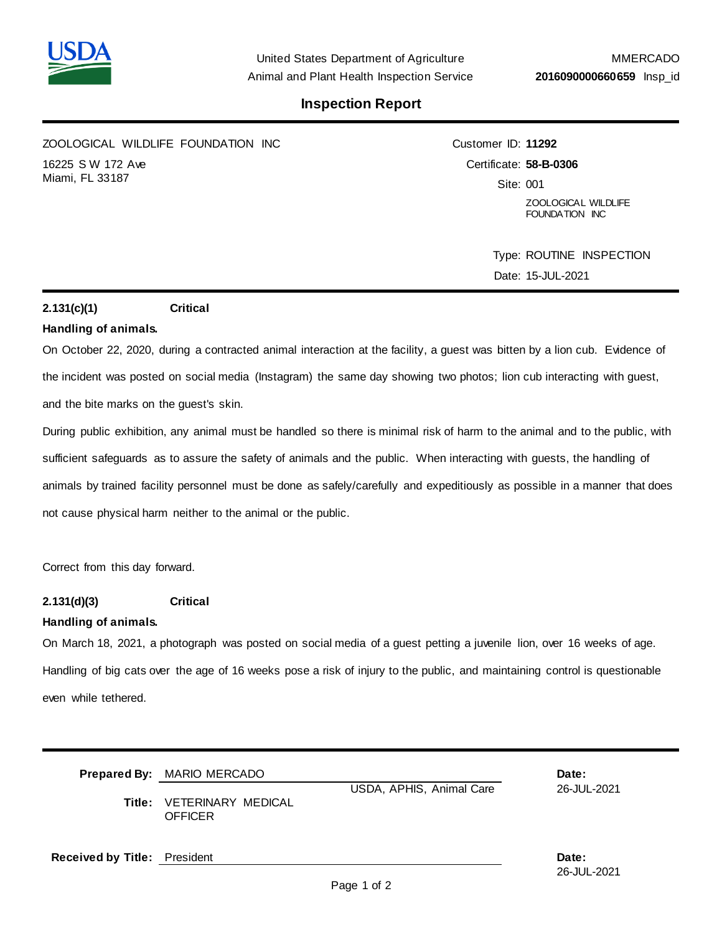

## **Inspection Report**

ZOOLOGICAL WILDLIFE FOUNDATION INC 16225 S W 172 Ave Miami, FL 33187

Customer ID: **11292** Certificate: **58-B-0306** Site: 001 ZOOLOGICAL WILDLIFE FOUNDATION INC

> Type: ROUTINE INSPECTION Date: 15-JUL-2021

### **2.131(c)(1) Critical**

### **Handling of animals.**

On October 22, 2020, during a contracted animal interaction at the facility, a guest was bitten by a lion cub. Evidence of the incident was posted on social media (Instagram) the same day showing two photos; lion cub interacting with guest, and the bite marks on the guest's skin.

During public exhibition, any animal must be handled so there is minimal risk of harm to the animal and to the public, with sufficient safeguards as to assure the safety of animals and the public. When interacting with guests, the handling of animals by trained facility personnel must be done as safely/carefully and expeditiously as possible in a manner that does not cause physical harm neither to the animal or the public.

Correct from this day forward.

### **2.131(d)(3) Critical**

### **Handling of animals.**

On March 18, 2021, a photograph was posted on social media of a guest petting a juvenile lion, over 16 weeks of age. Handling of big cats over the age of 16 weeks pose a risk of injury to the public, and maintaining control is questionable even while tethered.

|                                     | <b>Prepared By: MARIO MERCADO</b>                  |                          | Date:       |  |
|-------------------------------------|----------------------------------------------------|--------------------------|-------------|--|
|                                     | <b>Title: VETERINARY MEDICAL</b><br><b>OFFICER</b> | USDA, APHIS, Animal Care | 26-JUL-2021 |  |
| <b>Received by Title: President</b> |                                                    |                          | Date:       |  |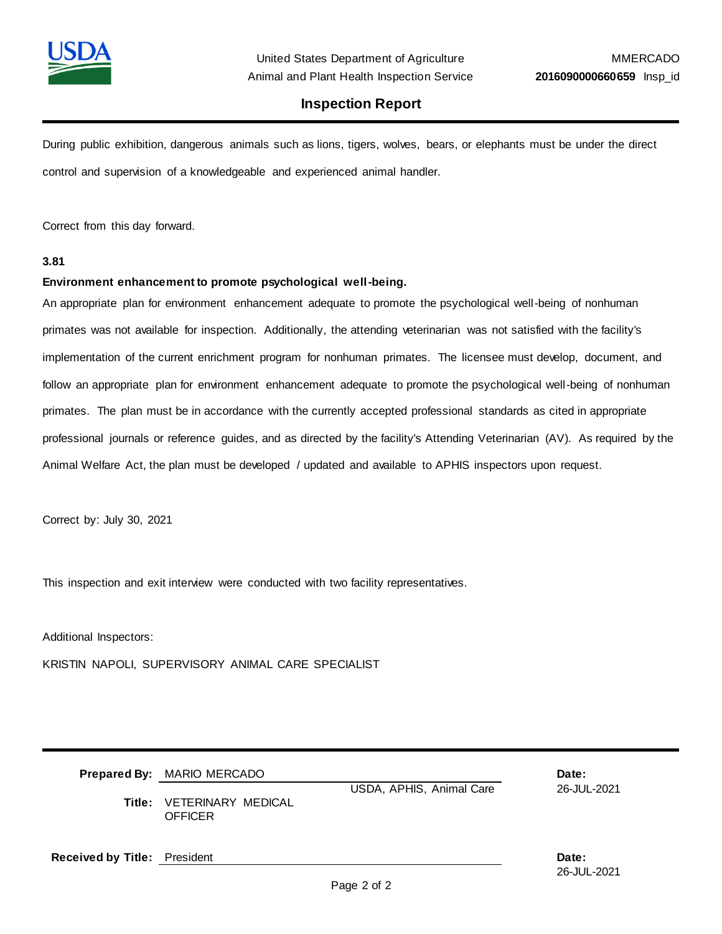

### **Inspection Report**

During public exhibition, dangerous animals such as lions, tigers, wolves, bears, or elephants must be under the direct control and supervision of a knowledgeable and experienced animal handler.

Correct from this day forward.

### **3.81**

#### **Environment enhancement to promote psychological well-being.**

An appropriate plan for environment enhancement adequate to promote the psychological well-being of nonhuman primates was not available for inspection. Additionally, the attending veterinarian was not satisfied with the facility's implementation of the current enrichment program for nonhuman primates. The licensee must develop, document, and follow an appropriate plan for environment enhancement adequate to promote the psychological well-being of nonhuman primates. The plan must be in accordance with the currently accepted professional standards as cited in appropriate professional journals or reference guides, and as directed by the facility's Attending Veterinarian (AV). As required by the Animal Welfare Act, the plan must be developed / updated and available to APHIS inspectors upon request.

Correct by: July 30, 2021

This inspection and exit interview were conducted with two facility representatives.

Additional Inspectors:

KRISTIN NAPOLI, SUPERVISORY ANIMAL CARE SPECIALIST

|                                     | <b>Prepared By: MARIO MERCADO</b><br>Title: VETERINARY MEDICAL<br><b>OFFICER</b> | USDA, APHIS, Animal Care | Date:<br>26-JUL-2021 |  |
|-------------------------------------|----------------------------------------------------------------------------------|--------------------------|----------------------|--|
| <b>Received by Title: President</b> |                                                                                  |                          | Date:<br>26-JUL-2021 |  |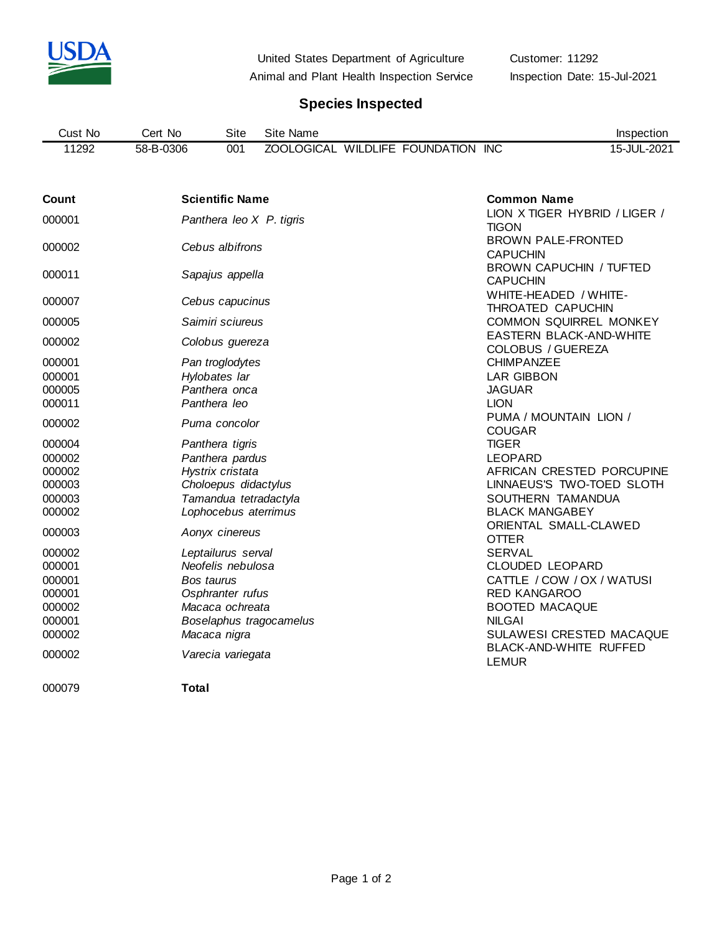

United States Department of Agriculture Customer: 11292

Animal and Plant Health Inspection Service Inspection Date: 15-Jul-2021

# **Species Inspected**

| Cust No | No<br>Cert | Site | Site<br>Name                                           | Inspection  |
|---------|------------|------|--------------------------------------------------------|-------------|
| 11292   | 58-B-0306  | 001  | <b>INC</b><br>WILDLIFE FOUNDATION<br><b>ZOOLOGICAL</b> | 15-JUL-2021 |

| Count  | <b>Scientific Name</b>   | <b>Common Name</b>                                         |
|--------|--------------------------|------------------------------------------------------------|
| 000001 | Panthera leo X P. tigris | LION X TIGER HYBRID / LIGER /<br><b>TIGON</b>              |
| 000002 | Cebus albifrons          | <b>BROWN PALE-FRONTED</b><br><b>CAPUCHIN</b>               |
| 000011 | Sapajus appella          | <b>BROWN CAPUCHIN / TUFTED</b><br><b>CAPUCHIN</b>          |
| 000007 | Cebus capucinus          | WHITE-HEADED / WHITE-<br>THROATED CAPUCHIN                 |
| 000005 | Saimiri sciureus         | <b>COMMON SQUIRREL MONKEY</b>                              |
| 000002 | Colobus guereza          | <b>EASTERN BLACK-AND-WHITE</b><br><b>COLOBUS / GUEREZA</b> |
| 000001 | Pan troglodytes          | <b>CHIMPANZEE</b>                                          |
| 000001 | Hylobates lar            | <b>LAR GIBBON</b>                                          |
| 000005 | Panthera onca            | <b>JAGUAR</b>                                              |
| 000011 | Panthera leo             | <b>LION</b>                                                |
| 000002 | Puma concolor            | PUMA / MOUNTAIN LION /<br><b>COUGAR</b>                    |
| 000004 | Panthera tigris          | <b>TIGER</b>                                               |
| 000002 | Panthera pardus          | <b>LEOPARD</b>                                             |
| 000002 | Hystrix cristata         | AFRICAN CRESTED PORCUPINE                                  |
| 000003 | Choloepus didactylus     | LINNAEUS'S TWO-TOED SLOTH                                  |
| 000003 | Tamandua tetradactyla    | SOUTHERN TAMANDUA                                          |
| 000002 | Lophocebus aterrimus     | <b>BLACK MANGABEY</b>                                      |
| 000003 | Aonyx cinereus           | ORIENTAL SMALL-CLAWED<br><b>OTTER</b>                      |
| 000002 | Leptailurus serval       | <b>SERVAL</b>                                              |
| 000001 | Neofelis nebulosa        | <b>CLOUDED LEOPARD</b>                                     |
| 000001 | Bos taurus               | CATTLE / COW / OX / WATUSI                                 |
| 000001 | Osphranter rufus         | <b>RED KANGAROO</b>                                        |
| 000002 | Macaca ochreata          | <b>BOOTED MACAQUE</b>                                      |
| 000001 | Boselaphus tragocamelus  | <b>NILGAI</b>                                              |
| 000002 | Macaca nigra             | SULAWESI CRESTED MACAQUE                                   |
| 000002 | Varecia variegata        | BLACK-AND-WHITE RUFFED<br><b>LEMUR</b>                     |

**Total**